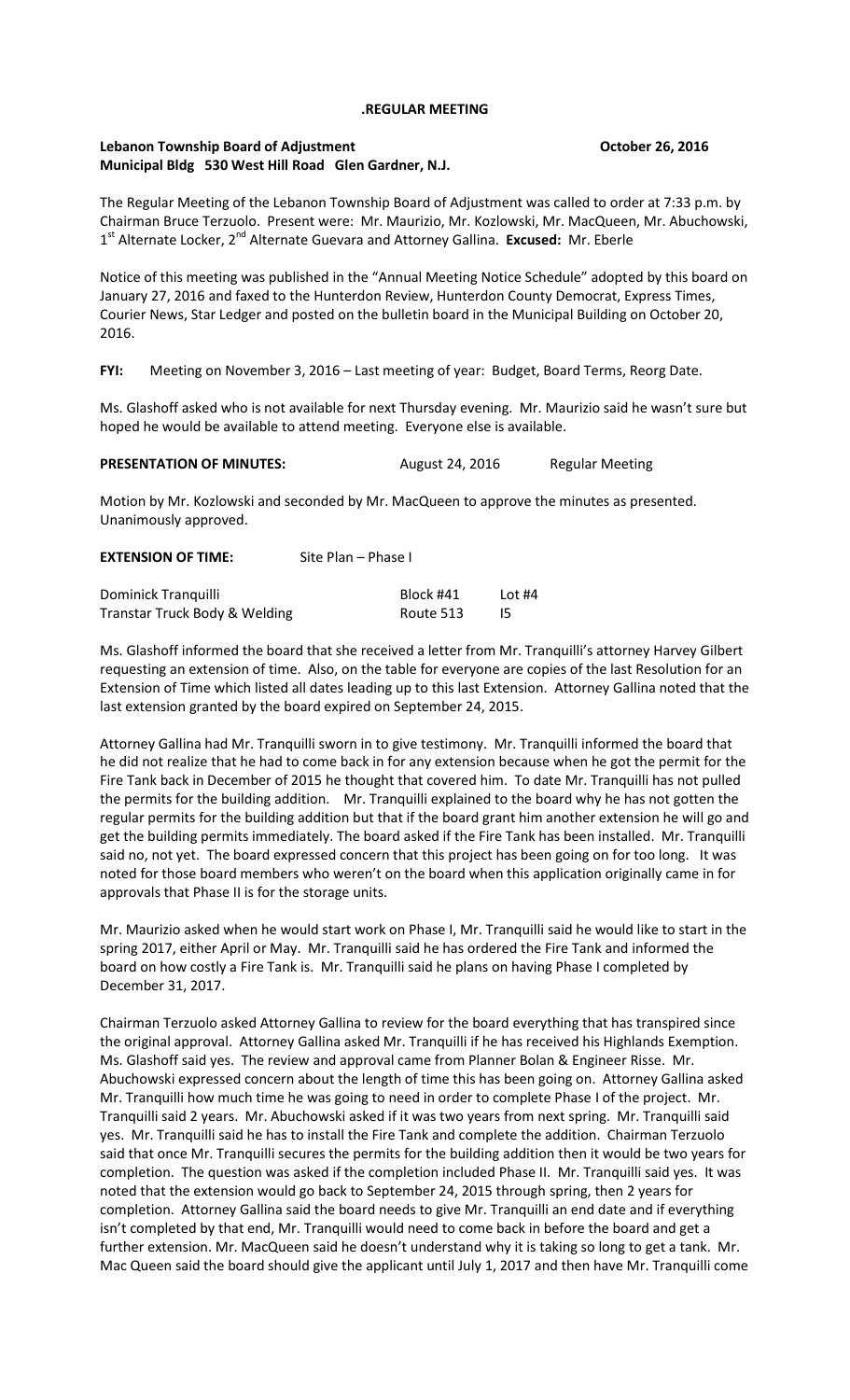## **.REGULAR MEETING**

## **Lebanon Township Board of Adjustment Contained Adjustment Contained Adjustment Contained Adjustment Contained Adjustment Municipal Bldg 530 West Hill Road Glen Gardner, N.J.**

The Regular Meeting of the Lebanon Township Board of Adjustment was called to order at 7:33 p.m. by Chairman Bruce Terzuolo. Present were: Mr. Maurizio, Mr. Kozlowski, Mr. MacQueen, Mr. Abuchowski, 1<sup>st</sup> Alternate Locker, 2<sup>nd</sup> Alternate Guevara and Attorney Gallina. Excused: Mr. Eberle

Notice of this meeting was published in the "Annual Meeting Notice Schedule" adopted by this board on January 27, 2016 and faxed to the Hunterdon Review, Hunterdon County Democrat, Express Times, Courier News, Star Ledger and posted on the bulletin board in the Municipal Building on October 20, 2016.

**FYI:** Meeting on November 3, 2016 – Last meeting of year: Budget, Board Terms, Reorg Date.

Ms. Glashoff asked who is not available for next Thursday evening. Mr. Maurizio said he wasn't sure but hoped he would be available to attend meeting. Everyone else is available.

| <b>PRESENTATION OF MINUTES:</b> | August 24, 2016 | <b>Regular Meeting</b> |
|---------------------------------|-----------------|------------------------|
|---------------------------------|-----------------|------------------------|

Motion by Mr. Kozlowski and seconded by Mr. MacQueen to approve the minutes as presented. Unanimously approved.

| <b>EXTENSION OF TIME:</b> | Site Plan – Phase I |
|---------------------------|---------------------|
|                           |                     |

| Dominick Tranquilli           | Block #41 | Lot #4 |
|-------------------------------|-----------|--------|
| Transtar Truck Body & Welding | Route 513 |        |

Ms. Glashoff informed the board that she received a letter from Mr. Tranquilli's attorney Harvey Gilbert requesting an extension of time. Also, on the table for everyone are copies of the last Resolution for an Extension of Time which listed all dates leading up to this last Extension. Attorney Gallina noted that the last extension granted by the board expired on September 24, 2015.

Attorney Gallina had Mr. Tranquilli sworn in to give testimony. Mr. Tranquilli informed the board that he did not realize that he had to come back in for any extension because when he got the permit for the Fire Tank back in December of 2015 he thought that covered him. To date Mr. Tranquilli has not pulled the permits for the building addition. Mr. Tranquilli explained to the board why he has not gotten the regular permits for the building addition but that if the board grant him another extension he will go and get the building permits immediately. The board asked if the Fire Tank has been installed. Mr. Tranquilli said no, not yet. The board expressed concern that this project has been going on for too long. It was noted for those board members who weren't on the board when this application originally came in for approvals that Phase II is for the storage units.

Mr. Maurizio asked when he would start work on Phase I, Mr. Tranquilli said he would like to start in the spring 2017, either April or May. Mr. Tranquilli said he has ordered the Fire Tank and informed the board on how costly a Fire Tank is. Mr. Tranquilli said he plans on having Phase I completed by December 31, 2017.

Chairman Terzuolo asked Attorney Gallina to review for the board everything that has transpired since the original approval. Attorney Gallina asked Mr. Tranquilli if he has received his Highlands Exemption. Ms. Glashoff said yes. The review and approval came from Planner Bolan & Engineer Risse. Mr. Abuchowski expressed concern about the length of time this has been going on. Attorney Gallina asked Mr. Tranquilli how much time he was going to need in order to complete Phase I of the project. Mr. Tranquilli said 2 years. Mr. Abuchowski asked if it was two years from next spring. Mr. Tranquilli said yes. Mr. Tranquilli said he has to install the Fire Tank and complete the addition. Chairman Terzuolo said that once Mr. Tranquilli secures the permits for the building addition then it would be two years for completion. The question was asked if the completion included Phase II. Mr. Tranquilli said yes. It was noted that the extension would go back to September 24, 2015 through spring, then 2 years for completion. Attorney Gallina said the board needs to give Mr. Tranquilli an end date and if everything isn't completed by that end, Mr. Tranquilli would need to come back in before the board and get a further extension. Mr. MacQueen said he doesn't understand why it is taking so long to get a tank. Mr. Mac Queen said the board should give the applicant until July 1, 2017 and then have Mr. Tranquilli come